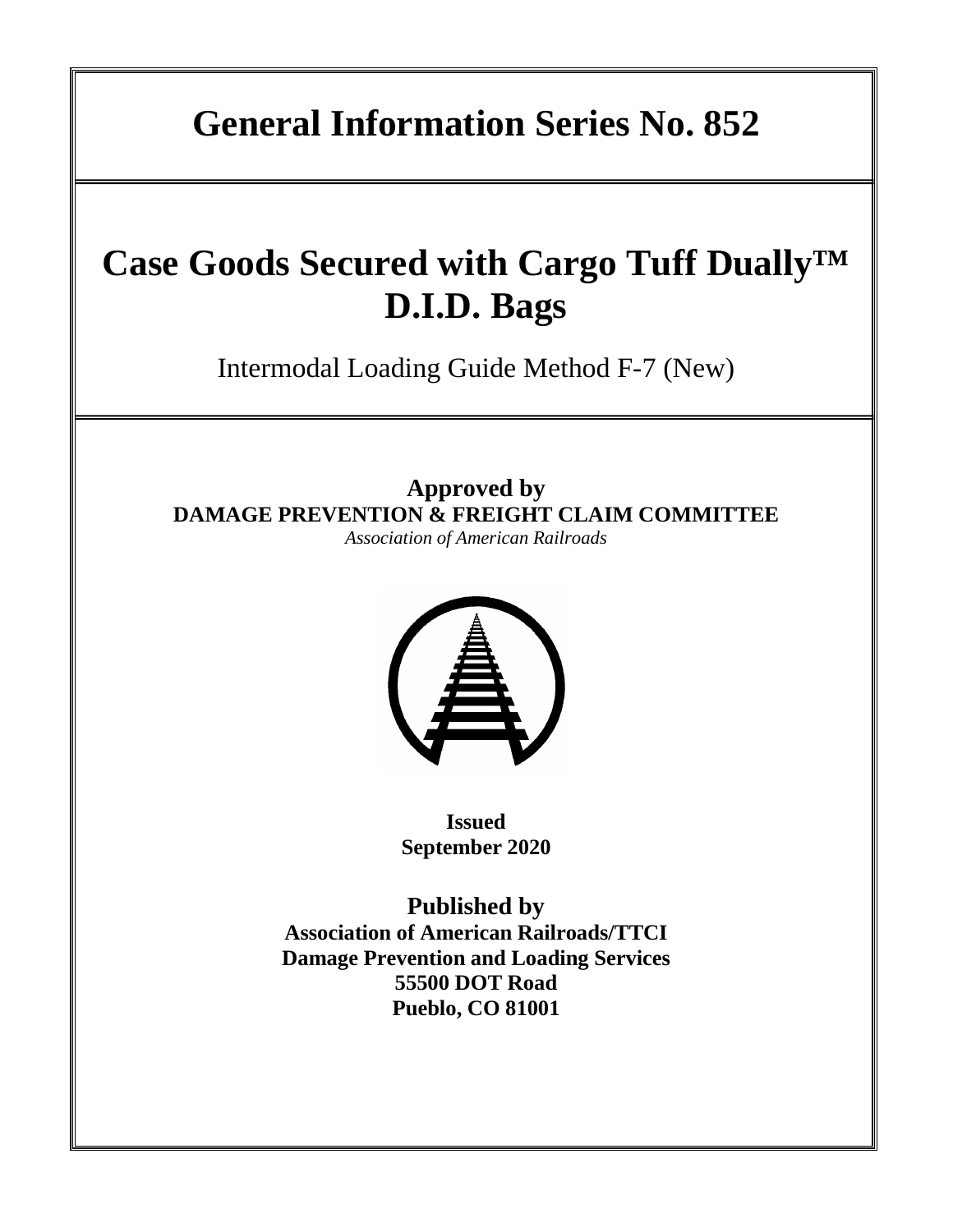# **Case Goods Secured with Cargo Tuff Dually™ D.I.D. Bags**

Intermodal Loading Guide Method F-7 (New)

**Approved by DAMAGE PREVENTION & FREIGHT CLAIM COMMITTEE**

*Association of American Railroads* 



**Issued September 2020**

**Published by Association of American Railroads/TTCI Damage Prevention and Loading Services 55500 DOT Road Pueblo, CO 81001**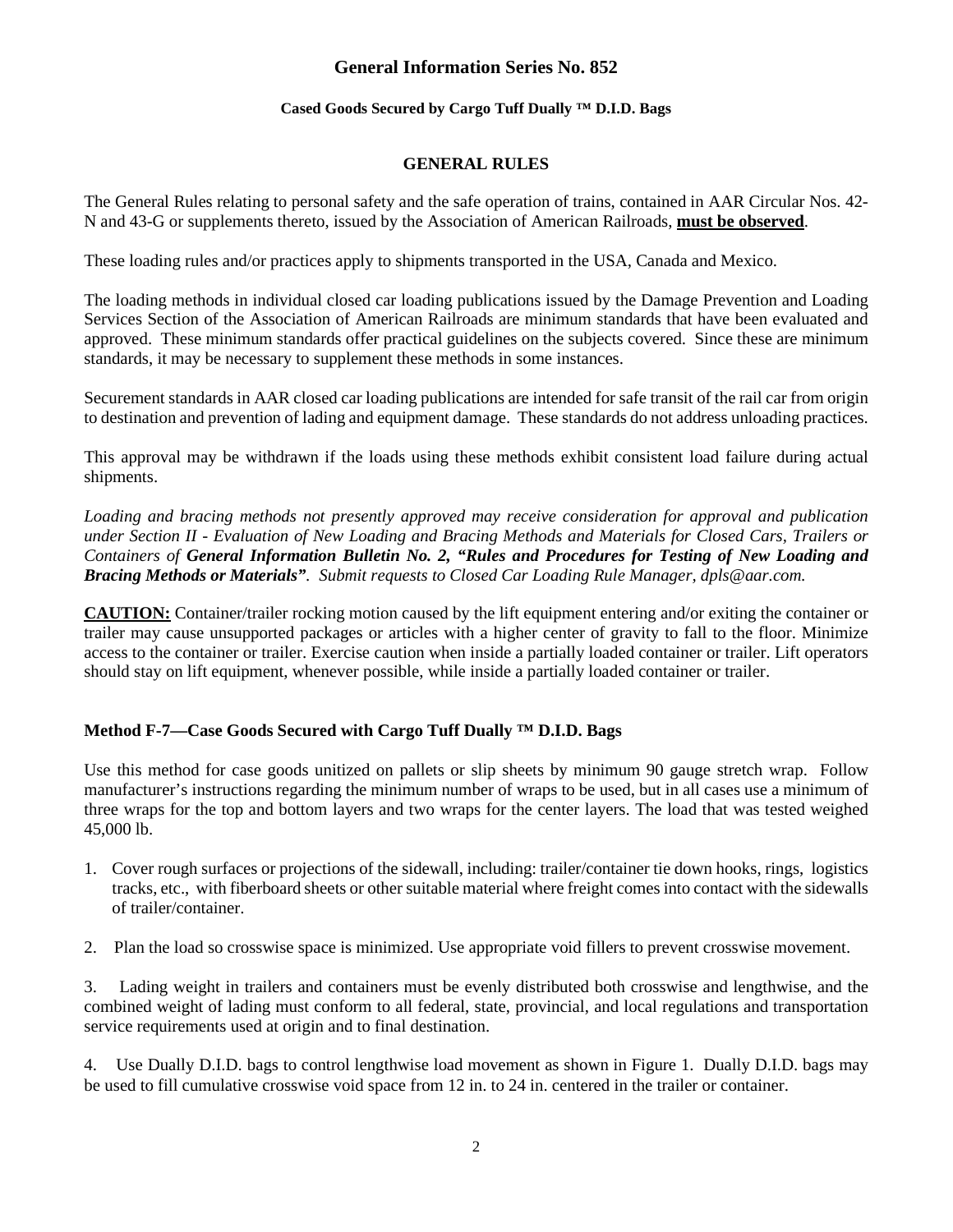## **Cased Goods Secured by Cargo Tuff Dually ™ D.I.D. Bags**

## **GENERAL RULES**

The General Rules relating to personal safety and the safe operation of trains, contained in AAR Circular Nos. 42- N and 43-G or supplements thereto, issued by the Association of American Railroads, **must be observed**.

These loading rules and/or practices apply to shipments transported in the USA, Canada and Mexico.

The loading methods in individual closed car loading publications issued by the Damage Prevention and Loading Services Section of the Association of American Railroads are minimum standards that have been evaluated and approved. These minimum standards offer practical guidelines on the subjects covered. Since these are minimum standards, it may be necessary to supplement these methods in some instances.

Securement standards in AAR closed car loading publications are intended for safe transit of the rail car from origin to destination and prevention of lading and equipment damage. These standards do not address unloading practices.

This approval may be withdrawn if the loads using these methods exhibit consistent load failure during actual shipments.

*Loading and bracing methods not presently approved may receive consideration for approval and publication under Section II - Evaluation of New Loading and Bracing Methods and Materials for Closed Cars, Trailers or Containers of General Information Bulletin No. 2, "Rules and Procedures for Testing of New Loading and Bracing Methods or Materials". Submit requests to Closed Car Loading Rule Manager, dpls@aar.com.*

**CAUTION:** Container/trailer rocking motion caused by the lift equipment entering and/or exiting the container or trailer may cause unsupported packages or articles with a higher center of gravity to fall to the floor. Minimize access to the container or trailer. Exercise caution when inside a partially loaded container or trailer. Lift operators should stay on lift equipment, whenever possible, while inside a partially loaded container or trailer.

# **Method F-7—Case Goods Secured with Cargo Tuff Dually ™ D.I.D. Bags**

Use this method for case goods unitized on pallets or slip sheets by minimum 90 gauge stretch wrap. Follow manufacturer's instructions regarding the minimum number of wraps to be used, but in all cases use a minimum of three wraps for the top and bottom layers and two wraps for the center layers. The load that was tested weighed 45,000 lb.

- 1. Cover rough surfaces or projections of the sidewall, including: trailer/container tie down hooks, rings, logistics tracks, etc., with fiberboard sheets or other suitable material where freight comes into contact with the sidewalls of trailer/container.
- 2. Plan the load so crosswise space is minimized. Use appropriate void fillers to prevent crosswise movement.

3. Lading weight in trailers and containers must be evenly distributed both crosswise and lengthwise, and the combined weight of lading must conform to all federal, state, provincial, and local regulations and transportation service requirements used at origin and to final destination.

4. Use Dually D.I.D. bags to control lengthwise load movement as shown in Figure 1. Dually D.I.D. bags may be used to fill cumulative crosswise void space from 12 in. to 24 in. centered in the trailer or container.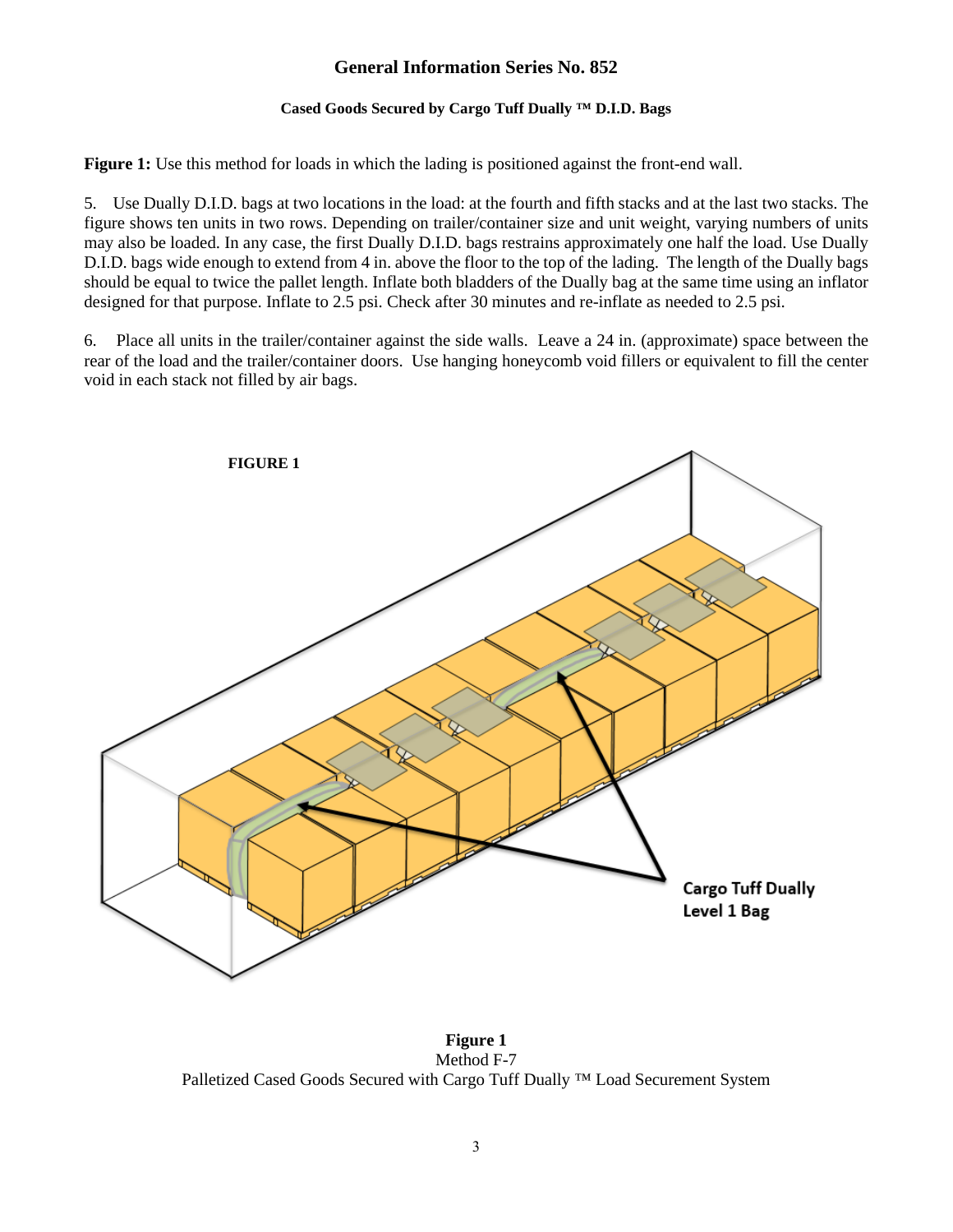## **Cased Goods Secured by Cargo Tuff Dually ™ D.I.D. Bags**

**Figure 1:** Use this method for loads in which the lading is positioned against the front-end wall.

5. Use Dually D.I.D. bags at two locations in the load: at the fourth and fifth stacks and at the last two stacks. The figure shows ten units in two rows. Depending on trailer/container size and unit weight, varying numbers of units may also be loaded. In any case, the first Dually D.I.D. bags restrains approximately one half the load. Use Dually D.I.D. bags wide enough to extend from 4 in. above the floor to the top of the lading. The length of the Dually bags should be equal to twice the pallet length. Inflate both bladders of the Dually bag at the same time using an inflator designed for that purpose. Inflate to 2.5 psi. Check after 30 minutes and re-inflate as needed to 2.5 psi.

6. Place all units in the trailer/container against the side walls. Leave a 24 in. (approximate) space between the rear of the load and the trailer/container doors. Use hanging honeycomb void fillers or equivalent to fill the center void in each stack not filled by air bags.



**Figure 1** Method F-7 Palletized Cased Goods Secured with Cargo Tuff Dually <sup>™</sup> Load Securement System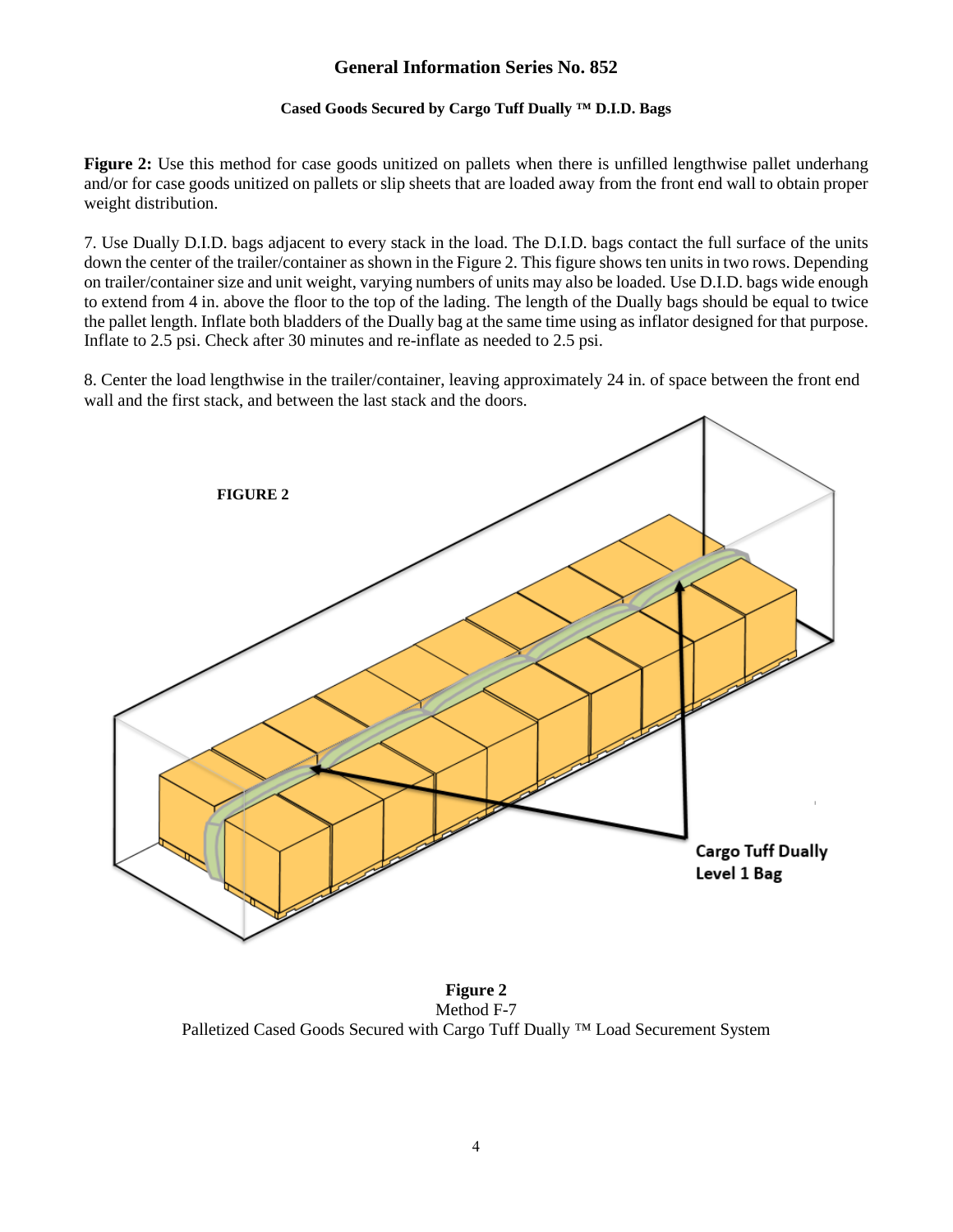### **Cased Goods Secured by Cargo Tuff Dually ™ D.I.D. Bags**

**Figure 2:** Use this method for case goods unitized on pallets when there is unfilled lengthwise pallet underhang and/or for case goods unitized on pallets or slip sheets that are loaded away from the front end wall to obtain proper weight distribution.

7. Use Dually D.I.D. bags adjacent to every stack in the load. The D.I.D. bags contact the full surface of the units down the center of the trailer/container as shown in the Figure 2. This figure shows ten units in two rows. Depending on trailer/container size and unit weight, varying numbers of units may also be loaded. Use D.I.D. bags wide enough to extend from 4 in. above the floor to the top of the lading. The length of the Dually bags should be equal to twice the pallet length. Inflate both bladders of the Dually bag at the same time using as inflator designed for that purpose. Inflate to 2.5 psi. Check after 30 minutes and re-inflate as needed to 2.5 psi.

8. Center the load lengthwise in the trailer/container, leaving approximately 24 in. of space between the front end wall and the first stack, and between the last stack and the doors.



**Figure 2** Method F-7 Palletized Cased Goods Secured with Cargo Tuff Dually ™ Load Securement System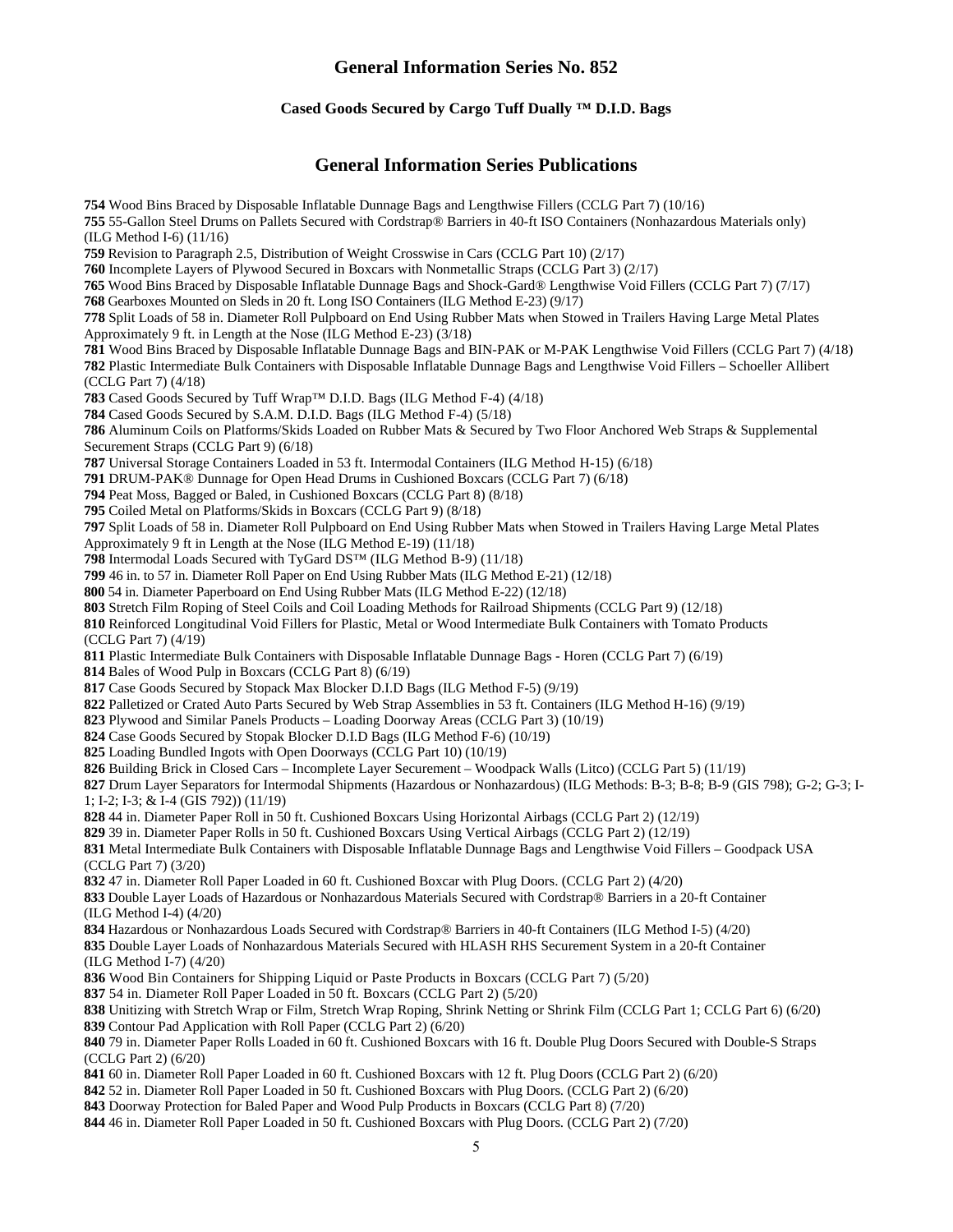#### **Cased Goods Secured by Cargo Tuff Dually ™ D.I.D. Bags**

### **General Information Series Publications**

Wood Bins Braced by Disposable Inflatable Dunnage Bags and Lengthwise Fillers (CCLG Part 7) (10/16) 55-Gallon Steel Drums on Pallets Secured with Cordstrap® Barriers in 40-ft ISO Containers (Nonhazardous Materials only) (ILG Method I-6) (11/16) Revision to Paragraph 2.5, Distribution of Weight Crosswise in Cars (CCLG Part 10) (2/17) Incomplete Layers of Plywood Secured in Boxcars with Nonmetallic Straps (CCLG Part 3) (2/17) Wood Bins Braced by Disposable Inflatable Dunnage Bags and Shock-Gard® Lengthwise Void Fillers (CCLG Part 7) (7/17) Gearboxes Mounted on Sleds in 20 ft. Long ISO Containers (ILG Method E-23) (9/17) Split Loads of 58 in. Diameter Roll Pulpboard on End Using Rubber Mats when Stowed in Trailers Having Large Metal Plates Approximately 9 ft. in Length at the Nose (ILG Method E-23) (3/18) Wood Bins Braced by Disposable Inflatable Dunnage Bags and BIN-PAK or M-PAK Lengthwise Void Fillers (CCLG Part 7) (4/18) Plastic Intermediate Bulk Containers with Disposable Inflatable Dunnage Bags and Lengthwise Void Fillers – Schoeller Allibert (CCLG Part 7) (4/18) Cased Goods Secured by Tuff Wrap™ D.I.D. Bags (ILG Method F-4) (4/18) Cased Goods Secured by S.A.M. D.I.D. Bags (ILG Method F-4) (5/18) Aluminum Coils on Platforms/Skids Loaded on Rubber Mats & Secured by Two Floor Anchored Web Straps & Supplemental Securement Straps (CCLG Part 9) (6/18) Universal Storage Containers Loaded in 53 ft. Intermodal Containers (ILG Method H-15) (6/18) DRUM-PAK® Dunnage for Open Head Drums in Cushioned Boxcars (CCLG Part 7) (6/18) Peat Moss, Bagged or Baled, in Cushioned Boxcars (CCLG Part 8) (8/18) Coiled Metal on Platforms/Skids in Boxcars (CCLG Part 9) (8/18) Split Loads of 58 in. Diameter Roll Pulpboard on End Using Rubber Mats when Stowed in Trailers Having Large Metal Plates Approximately 9 ft in Length at the Nose (ILG Method E-19) (11/18) Intermodal Loads Secured with TyGard DS™ (ILG Method B-9) (11/18) 46 in. to 57 in. Diameter Roll Paper on End Using Rubber Mats (ILG Method E-21) (12/18) 54 in. Diameter Paperboard on End Using Rubber Mats (ILG Method E-22) (12/18) Stretch Film Roping of Steel Coils and Coil Loading Methods for Railroad Shipments (CCLG Part 9) (12/18) Reinforced Longitudinal Void Fillers for Plastic, Metal or Wood Intermediate Bulk Containers with Tomato Products (CCLG Part 7) (4/19) Plastic Intermediate Bulk Containers with Disposable Inflatable Dunnage Bags - Horen (CCLG Part 7) (6/19) Bales of Wood Pulp in Boxcars (CCLG Part 8) (6/19) Case Goods Secured by Stopack Max Blocker D.I.D Bags (ILG Method F-5) (9/19) Palletized or Crated Auto Parts Secured by Web Strap Assemblies in 53 ft. Containers (ILG Method H-16) (9/19) Plywood and Similar Panels Products – Loading Doorway Areas (CCLG Part 3) (10/19) Case Goods Secured by Stopak Blocker D.I.D Bags (ILG Method F-6) (10/19) Loading Bundled Ingots with Open Doorways (CCLG Part 10) (10/19) Building Brick in Closed Cars – Incomplete Layer Securement – Woodpack Walls (Litco) (CCLG Part 5) (11/19) Drum Layer Separators for Intermodal Shipments (Hazardous or Nonhazardous) (ILG Methods: B-3; B-8; B-9 (GIS 798); G-2; G-3; I-1; I-2; I-3; & I-4 (GIS 792)) (11/19) 44 in. Diameter Paper Roll in 50 ft. Cushioned Boxcars Using Horizontal Airbags (CCLG Part 2) (12/19) 39 in. Diameter Paper Rolls in 50 ft. Cushioned Boxcars Using Vertical Airbags (CCLG Part 2) (12/19) Metal Intermediate Bulk Containers with Disposable Inflatable Dunnage Bags and Lengthwise Void Fillers – Goodpack USA (CCLG Part 7) (3/20) 47 in. Diameter Roll Paper Loaded in 60 ft. Cushioned Boxcar with Plug Doors. (CCLG Part 2) (4/20) Double Layer Loads of Hazardous or Nonhazardous Materials Secured with Cordstrap® Barriers in a 20-ft Container (ILG Method I-4) (4/20) Hazardous or Nonhazardous Loads Secured with Cordstrap® Barriers in 40-ft Containers (ILG Method I-5) (4/20) Double Layer Loads of Nonhazardous Materials Secured with HLASH RHS Securement System in a 20-ft Container (ILG Method I-7) (4/20) Wood Bin Containers for Shipping Liquid or Paste Products in Boxcars (CCLG Part 7) (5/20) 54 in. Diameter Roll Paper Loaded in 50 ft. Boxcars (CCLG Part 2) (5/20) Unitizing with Stretch Wrap or Film, Stretch Wrap Roping, Shrink Netting or Shrink Film (CCLG Part 1; CCLG Part 6) (6/20) Contour Pad Application with Roll Paper (CCLG Part 2) (6/20)

 79 in. Diameter Paper Rolls Loaded in 60 ft. Cushioned Boxcars with 16 ft. Double Plug Doors Secured with Double-S Straps (CCLG Part 2) (6/20)

60 in. Diameter Roll Paper Loaded in 60 ft. Cushioned Boxcars with 12 ft. Plug Doors (CCLG Part 2) (6/20)

52 in. Diameter Roll Paper Loaded in 50 ft. Cushioned Boxcars with Plug Doors. (CCLG Part 2) (6/20)

Doorway Protection for Baled Paper and Wood Pulp Products in Boxcars (CCLG Part 8) (7/20)

46 in. Diameter Roll Paper Loaded in 50 ft. Cushioned Boxcars with Plug Doors. (CCLG Part 2) (7/20)